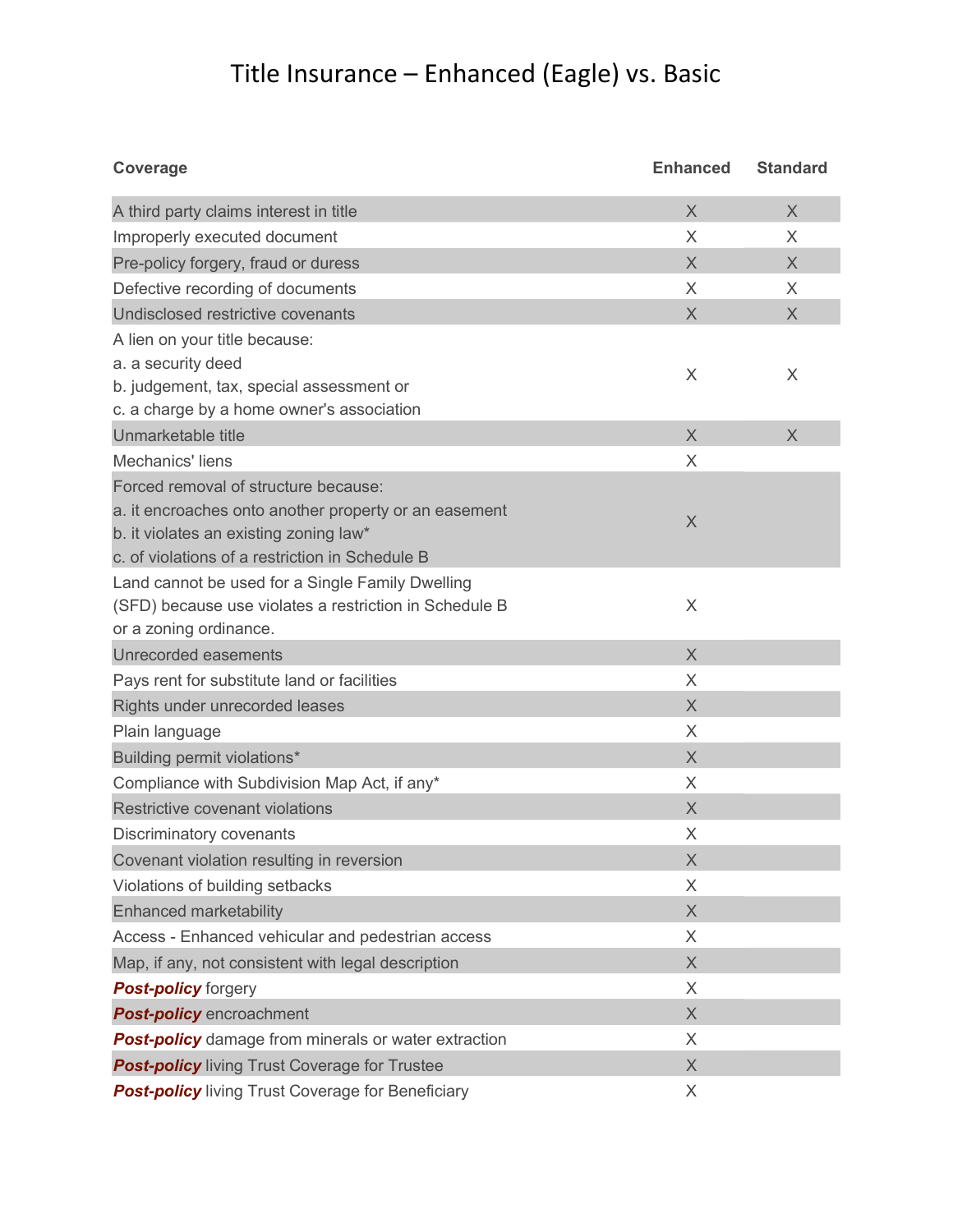## Title Insurance – Enhanced (Eagle) vs. Basic

| Coverage                                                    | <b>Enhanced</b> | <b>Standard</b> |
|-------------------------------------------------------------|-----------------|-----------------|
| A third party claims interest in title                      | $\times$        | $\chi$          |
| Improperly executed document                                | $\times$        | X               |
| Pre-policy forgery, fraud or duress                         | $\times$        | X               |
| Defective recording of documents                            | X               | X               |
| Undisclosed restrictive covenants                           | $\times$        | $\times$        |
| A lien on your title because:                               |                 |                 |
| a. a security deed                                          | X               | X               |
| b. judgement, tax, special assessment or                    |                 |                 |
| c. a charge by a home owner's association                   |                 |                 |
| Unmarketable title                                          | $\times$        | $\times$        |
| Mechanics' liens                                            | $\times$        |                 |
| Forced removal of structure because:                        |                 |                 |
| a. it encroaches onto another property or an easement       | $\times$        |                 |
| b. it violates an existing zoning law*                      |                 |                 |
| c. of violations of a restriction in Schedule B             |                 |                 |
| Land cannot be used for a Single Family Dwelling            |                 |                 |
| (SFD) because use violates a restriction in Schedule B      | $\times$        |                 |
| or a zoning ordinance.                                      |                 |                 |
| Unrecorded easements                                        | $\times$        |                 |
| Pays rent for substitute land or facilities                 | X               |                 |
| Rights under unrecorded leases                              | $\times$        |                 |
| Plain language                                              | $\times$        |                 |
| Building permit violations*                                 | $\times$        |                 |
| Compliance with Subdivision Map Act, if any*                | X               |                 |
| Restrictive covenant violations                             | $\times$        |                 |
| <b>Discriminatory covenants</b>                             | X               |                 |
| Covenant violation resulting in reversion                   | X               |                 |
| Violations of building setbacks                             | X               |                 |
| <b>Enhanced marketability</b>                               | $\overline{X}$  |                 |
| Access - Enhanced vehicular and pedestrian access           | X               |                 |
| Map, if any, not consistent with legal description          | $\times$        |                 |
| <b>Post-policy forgery</b>                                  | X               |                 |
| <b>Post-policy</b> encroachment                             | $\times$        |                 |
| <b>Post-policy</b> damage from minerals or water extraction | X               |                 |
| <b>Post-policy</b> living Trust Coverage for Trustee        | X               |                 |
| <b>Post-policy</b> living Trust Coverage for Beneficiary    | X               |                 |